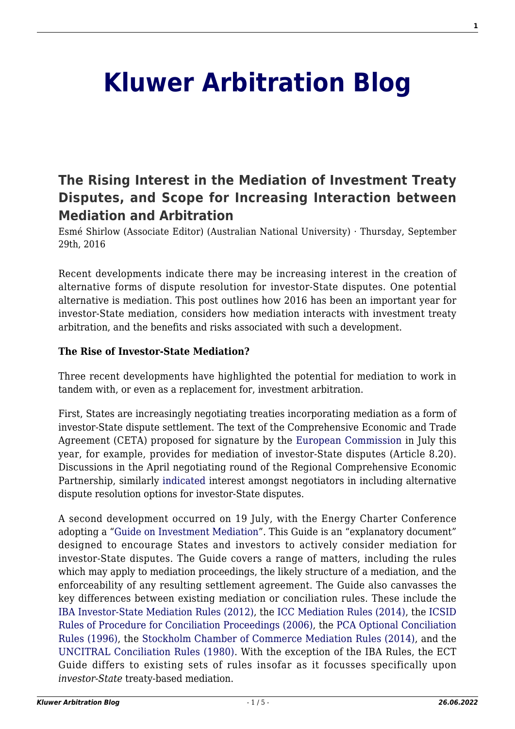# **[Kluwer Arbitration Blog](http://arbitrationblog.kluwerarbitration.com/)**

## **[The Rising Interest in the Mediation of Investment Treaty](http://arbitrationblog.kluwerarbitration.com/2016/09/29/the-rising-interest-in-the-mediation-of-investment-treaty-disputes-and-scope-for-increasing-interaction-between-mediation-and-arbitration/) [Disputes, and Scope for Increasing Interaction between](http://arbitrationblog.kluwerarbitration.com/2016/09/29/the-rising-interest-in-the-mediation-of-investment-treaty-disputes-and-scope-for-increasing-interaction-between-mediation-and-arbitration/) [Mediation and Arbitration](http://arbitrationblog.kluwerarbitration.com/2016/09/29/the-rising-interest-in-the-mediation-of-investment-treaty-disputes-and-scope-for-increasing-interaction-between-mediation-and-arbitration/)**

Esmé Shirlow (Associate Editor) (Australian National University) · Thursday, September 29th, 2016

Recent developments indicate there may be increasing interest in the creation of alternative forms of dispute resolution for investor-State disputes. One potential alternative is mediation. This post outlines how 2016 has been an important year for investor-State mediation, considers how mediation interacts with investment treaty arbitration, and the benefits and risks associated with such a development.

#### **The Rise of Investor-State Mediation?**

Three recent developments have highlighted the potential for mediation to work in tandem with, or even as a replacement for, investment arbitration.

First, States are increasingly negotiating treaties incorporating mediation as a form of investor-State dispute settlement. The text of the Comprehensive Economic and Trade Agreement (CETA) proposed for signature by the [European Commission](http://ec.europa.eu/trade/policy/in-focus/ceta/index_en.htm) in July this year, for example, provides for mediation of investor‑State disputes (Article 8.20). Discussions in the April negotiating round of the Regional Comprehensive Economic Partnership, similarly [indicated i](http://www.gadens.com/publications/Pages/From-RCEP-with-love-ADR-for-FTAs.aspx)nterest amongst negotiators in including alternative dispute resolution options for investor-State disputes.

A second development occurred on 19 July, with the Energy Charter Conference adopting a ["Guide on Investment Mediation"](http://www.energycharter.org/fileadmin/DocumentsMedia/CCDECS/2016/CCDEC201612.pdf). This Guide is an "explanatory document" designed to encourage States and investors to actively consider mediation for investor‑State disputes. The Guide covers a range of matters, including the rules which may apply to mediation proceedings, the likely structure of a mediation, and the enforceability of any resulting settlement agreement. The Guide also canvasses the key differences between existing mediation or conciliation rules. These include the [IBA Investor-State Mediation Rules \(2012\)](http://www.ibanet.org/Publications/publications_IBA_guides_and_free_materials.aspx#Practice Rules and Guidelines), the [ICC Mediation Rules \(2014\),](http://www.iccwbo.org/products-and-services/arbitration-and-adr/mediation/rules/) the [ICSID](https://icsid.worldbank.org/apps/ICSIDWEB/icsiddocs/Documents/ICSID%20Convention%20English.pdf) [Rules of Procedure for Conciliation Proceedings \(2006\),](https://icsid.worldbank.org/apps/ICSIDWEB/icsiddocs/Documents/ICSID%20Convention%20English.pdf) the [PCA Optional Conciliation](https://pca-cpa.org/wp-content/uploads/sites/175/2016/01/Permanent-Court-of-Arbitration-Optional-Conciliation-Rules.pdf) [Rules \(1996\)](https://pca-cpa.org/wp-content/uploads/sites/175/2016/01/Permanent-Court-of-Arbitration-Optional-Conciliation-Rules.pdf), the [Stockholm Chamber of Commerce Mediation Rules \(2014\),](http://www.sccinstitute.com/media/49819/medlingsregler_eng_web.pdf) and the [UNCITRAL Conciliation Rules \(1980\)](https://www.uncitral.org/pdf/english/texts/arbitration/conc-rules/conc-rules-e.pdf). With the exception of the IBA Rules, the ECT Guide differs to existing sets of rules insofar as it focusses specifically upon *investor‑State* treaty-based mediation.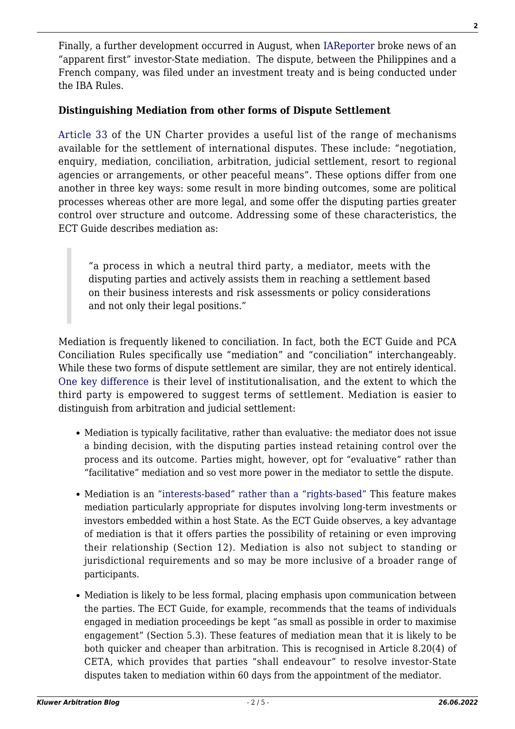Finally, a further development occurred in August, when [IAReporter](http://www.iareporter.com/articles/in-an-apparent-first-investor-and-host-state-agree-to-try-mediation-under-iba-rules-to-resolve-an-investment-treaty-dispute/) broke news of an "apparent first" investor-State mediation. The dispute, between the Philippines and a French company, was filed under an investment treaty and is being conducted under the IBA Rules.

#### **Distinguishing Mediation from other forms of Dispute Settlement**

[Article 33](https://treaties.un.org/doc/publication/ctc/uncharter.pdf) of the UN Charter provides a useful list of the range of mechanisms available for the settlement of international disputes. These include: "negotiation, enquiry, mediation, conciliation, arbitration, judicial settlement, resort to regional agencies or arrangements, or other peaceful means". These options differ from one another in three key ways: some result in more binding outcomes, some are political processes whereas other are more legal, and some offer the disputing parties greater control over structure and outcome. Addressing some of these characteristics, the ECT Guide describes mediation as:

"a process in which a neutral third party, a mediator, meets with the disputing parties and actively assists them in reaching a settlement based on their business interests and risk assessments or policy considerations and not only their legal positions."

Mediation is frequently likened to conciliation. In fact, both the ECT Guide and PCA Conciliation Rules specifically use "mediation" and "conciliation" interchangeably. While these two forms of dispute settlement are similar, they are not entirely identical. [One key difference](http://papers.ssrn.com/sol3/papers.cfm?abstract_id=1518131) is their level of institutionalisation, and the extent to which the third party is empowered to suggest terms of settlement. Mediation is easier to distinguish from arbitration and judicial settlement:

- Mediation is typically facilitative, rather than evaluative: the mediator does not issue a binding decision, with the disputing parties instead retaining control over the process and its outcome. Parties might, however, opt for "evaluative" rather than "facilitative" mediation and so vest more power in the mediator to settle the dispute.
- Mediation is an ["interests-based" rather than a "rights-based"](http://papers.ssrn.com/sol3/papers.cfm?abstract_id=2297650) This feature makes mediation particularly appropriate for disputes involving long-term investments or investors embedded within a host State. As the ECT Guide observes, a key advantage of mediation is that it offers parties the possibility of retaining or even improving their relationship (Section 12). Mediation is also not subject to standing or jurisdictional requirements and so may be more inclusive of a broader range of participants.
- Mediation is likely to be less formal, placing emphasis upon communication between the parties. The ECT Guide, for example, recommends that the teams of individuals engaged in mediation proceedings be kept "as small as possible in order to maximise engagement" (Section 5.3). These features of mediation mean that it is likely to be both quicker and cheaper than arbitration. This is recognised in Article 8.20(4) of CETA, which provides that parties "shall endeavour" to resolve investor-State disputes taken to mediation within 60 days from the appointment of the mediator.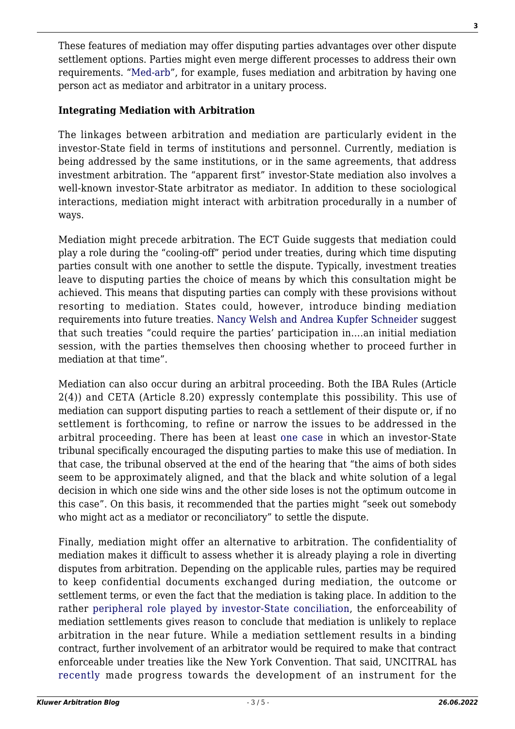These features of mediation may offer disputing parties advantages over other dispute settlement options. Parties might even merge different processes to address their own requirements. "[Med-arb](http://www.nortonrosefulbright.com/knowledge/publications/139445/the-medarb-qa)", for example, fuses mediation and arbitration by having one person act as mediator and arbitrator in a unitary process.

#### **Integrating Mediation with Arbitration**

The linkages between arbitration and mediation are particularly evident in the investor-State field in terms of institutions and personnel. Currently, mediation is being addressed by the same institutions, or in the same agreements, that address investment arbitration. The "apparent first" investor-State mediation also involves a well-known investor-State arbitrator as mediator. In addition to these sociological interactions, mediation might interact with arbitration procedurally in a number of ways.

Mediation might precede arbitration. The ECT Guide suggests that mediation could play a role during the "cooling-off" period under treaties, during which time disputing parties consult with one another to settle the dispute. Typically, investment treaties leave to disputing parties the choice of means by which this consultation might be achieved. This means that disputing parties can comply with these provisions without resorting to mediation. States could, however, introduce binding mediation requirements into future treaties. [Nancy Welsh and Andrea Kupfer Schneider](http://papers.ssrn.com/sol3/papers.cfm?abstract_id=2297650) suggest that such treaties "could require the parties' participation in….an initial mediation session, with the parties themselves then choosing whether to proceed further in mediation at that time".

Mediation can also occur during an arbitral proceeding. Both the IBA Rules (Article 2(4)) and CETA (Article 8.20) expressly contemplate this possibility. This use of mediation can support disputing parties to reach a settlement of their dispute or, if no settlement is forthcoming, to refine or narrow the issues to be addressed in the arbitral proceeding. There has been at least [one case](http://www.italaw.com/sites/default/files/case-documents/italaw3206.pdf) in which an investor-State tribunal specifically encouraged the disputing parties to make this use of mediation. In that case, the tribunal observed at the end of the hearing that "the aims of both sides seem to be approximately aligned, and that the black and white solution of a legal decision in which one side wins and the other side loses is not the optimum outcome in this case". On this basis, it recommended that the parties might "seek out somebody who might act as a mediator or reconciliatory" to settle the dispute.

Finally, mediation might offer an alternative to arbitration. The confidentiality of mediation makes it difficult to assess whether it is already playing a role in diverting disputes from arbitration. Depending on the applicable rules, parties may be required to keep confidential documents exchanged during mediation, the outcome or settlement terms, or even the fact that the mediation is taking place. In addition to the rather [peripheral role played by investor-State conciliation](https://icsid.worldbank.org/apps/ICSIDWEB/cases/Pages/AdvancedSearch.aspx?gE=s&cte=CD19), the enforceability of mediation settlements gives reason to conclude that mediation is unlikely to replace arbitration in the near future. While a mediation settlement results in a binding contract, further involvement of an arbitrator would be required to make that contract enforceable under treaties like the New York Convention. That said, UNCITRAL has [r](https://documents-dds-ny.un.org/doc/UNDOC/LTD/V16/045/69/PDF/V1604569.pdf?OpenElement)[ecently](http://www.uncitral.org/uncitral/commission/sessions/49th.html) made progress towards the development of an instrument for the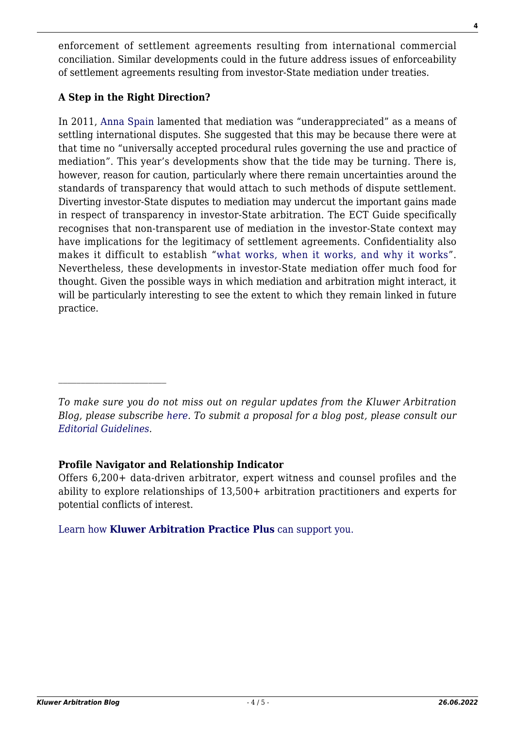enforcement of settlement agreements resulting from international commercial conciliation. Similar developments could in the future address issues of enforceability of settlement agreements resulting from investor-State mediation under treaties.

### **A Step in the Right Direction?**

In 2011, [Anna Spain](http://papers.ssrn.com/sol3/papers.cfm?abstract_id=1518131) lamented that mediation was "underappreciated" as a means of settling international disputes. She suggested that this may be because there were at that time no "universally accepted procedural rules governing the use and practice of mediation". This year's developments show that the tide may be turning. There is, however, reason for caution, particularly where there remain uncertainties around the standards of transparency that would attach to such methods of dispute settlement. Diverting investor-State disputes to mediation may undercut the important gains made in respect of transparency in investor-State arbitration. The ECT Guide specifically recognises that non-transparent use of mediation in the investor-State context may have implications for the legitimacy of settlement agreements. Confidentiality also makes it difficult to establish "[what works, when it works, and why it works"](http://papers.ssrn.com/sol3/papers.cfm?abstract_id=1518131). Nevertheless, these developments in investor-State mediation offer much food for thought. Given the possible ways in which mediation and arbitration might interact, it will be particularly interesting to see the extent to which they remain linked in future practice.

#### **Profile Navigator and Relationship Indicator**

Offers 6,200+ data-driven arbitrator, expert witness and counsel profiles and the ability to explore relationships of 13,500+ arbitration practitioners and experts for potential conflicts of interest.

[Learn how](https://www.wolterskluwer.com/en/solutions/kluwerarbitration/practiceplus?utm_source=arbitrationblog&utm_medium=articleCTA&utm_campaign=article-banner) **[Kluwer Arbitration Practice Plus](https://www.wolterskluwer.com/en/solutions/kluwerarbitration/practiceplus?utm_source=arbitrationblog&utm_medium=articleCTA&utm_campaign=article-banner)** [can support you.](https://www.wolterskluwer.com/en/solutions/kluwerarbitration/practiceplus?utm_source=arbitrationblog&utm_medium=articleCTA&utm_campaign=article-banner)

*To make sure you do not miss out on regular updates from the Kluwer Arbitration Blog, please subscribe [here](http://arbitrationblog.kluwerarbitration.com/newsletter/). To submit a proposal for a blog post, please consult our [Editorial Guidelines.](http://arbitrationblog.kluwerarbitration.com/editorial-guidelines/)*